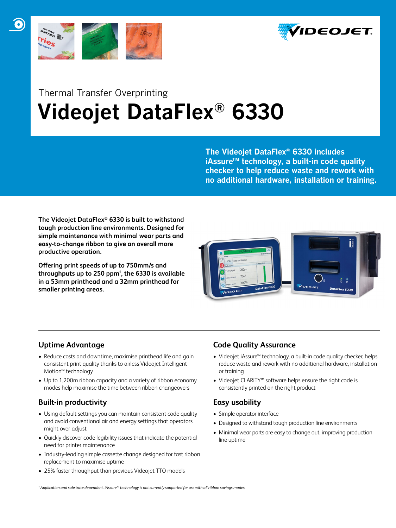



# Thermal Transfer Overprinting  **Videojet DataFlex® 6330**

**The Videojet DataFlex® 6330 includes iAssureTM technology, a built-in code quality checker to help reduce waste and rework with no additional hardware, installation or training.**

**The Videojet DataFlex® 6330 is built to withstand tough production line environments. Designed for simple maintenance with minimal wear parts and easy-to-change ribbon to give an overall more productive operation.**

**Offering print speeds of up to 750mm/s and throughputs up to 250 ppm1 , the 6330 is available in a 53mm printhead and a 32mm printhead for smaller printing areas.** 



# **Uptime Advantage**

- Reduce costs and downtime, maximise printhead life and gain consistent print quality thanks to airless Videojet Intelligent Motion™ technology
- Up to 1,200m ribbon capacity and a variety of ribbon economy modes help maximise the time between ribbon changeovers

## **Built-in productivity**

- Using default settings you can maintain consistent code quality and avoid conventional air and energy settings that operators might over-adjust
- Quickly discover code legibility issues that indicate the potential need for printer maintenance
- Industry-leading simple cassette change designed for fast ribbon replacement to maximise uptime
- 25% faster throughput than previous Videojet TTO models

## **Code Quality Assurance**

- Videojet iAssure™ technology, a built-in code quality checker, helps reduce waste and rework with no additional hardware, installation or training
- • Videojet CLARiTY™ software helps ensure the right code is consistently printed on the right product

## **Easy usability**

- • Simple operator interface
- Designed to withstand tough production line environments
- Minimal wear parts are easy to change out, improving production line uptime

*1 Application and substrate dependent. iAssure™ technology is not currently supported for use with all ribbon savings modes.*